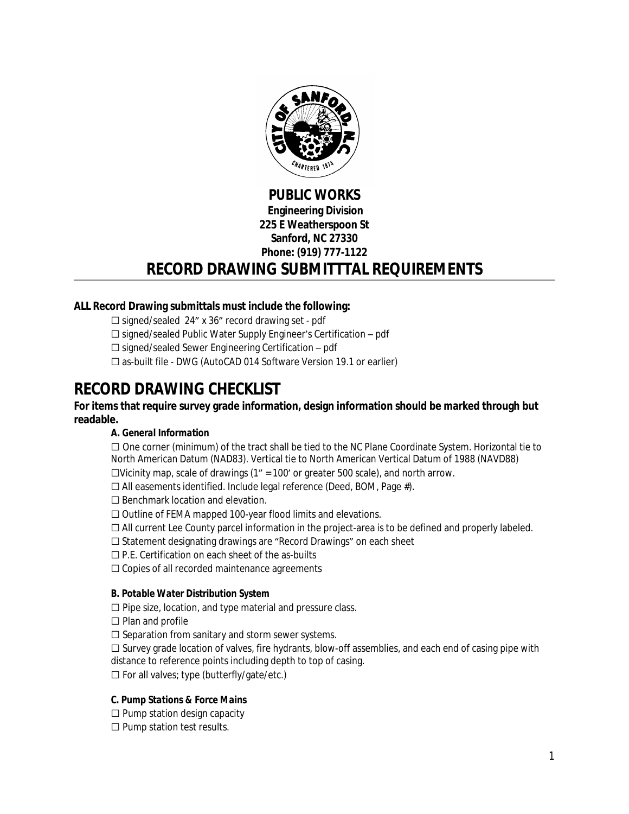

## **PUBLIC WORKS Engineering Division 225 E Weatherspoon St Sanford, NC 27330 Phone: (919) 777-1122**

## **RECORD DRAWING SUBMITTTAL REQUIREMENTS**

## **ALL Record Drawing submittals must include the following:**

☐ signed/sealed 24" x 36" record drawing set - pdf

- ☐ signed/sealed Public Water Supply Engineer's Certification pdf
- $\Box$  signed/sealed Sewer Engineering Certification pdf
- ☐ as-built file DWG (AutoCAD 014 Software Version 19.1 or earlier)

# **RECORD DRAWING CHECKLIST**

## **For items that require survey grade information, design information should be marked through but readable.**

## **A.** *General Information*

☐ One corner (minimum) of the tract shall be tied to the NC Plane Coordinate System. Horizontal tie to North American Datum (NAD83). Vertical tie to North American Vertical Datum of 1988 (NAVD88)

☐Vicinity map, scale of drawings (1" = 100' or greater 500 scale), and north arrow.

☐ All easements identified. Include legal reference (Deed, BOM, Page #).

☐ Benchmark location and elevation.

- ☐ Outline of FEMA mapped 100-year flood limits and elevations.
- $\Box$  All current Lee County parcel information in the project-area is to be defined and properly labeled.
- ☐ Statement designating drawings are "Record Drawings" on each sheet
- ☐ P.E. Certification on each sheet of the as-builts
- ☐ Copies of all recorded maintenance agreements

#### *B. Potable Water Distribution System*

☐ Pipe size, location, and type material and pressure class.

☐ Plan and profile

 $\Box$  Separation from sanitary and storm sewer systems.

 $\Box$  Survey grade location of valves, fire hydrants, blow-off assemblies, and each end of casing pipe with distance to reference points including depth to top of casing.

☐ For all valves; type (butterfly/gate/etc.)

## *C. Pump Stations & Force Mains*

 $\Box$  Pump station design capacity

 $\Box$  Pump station test results.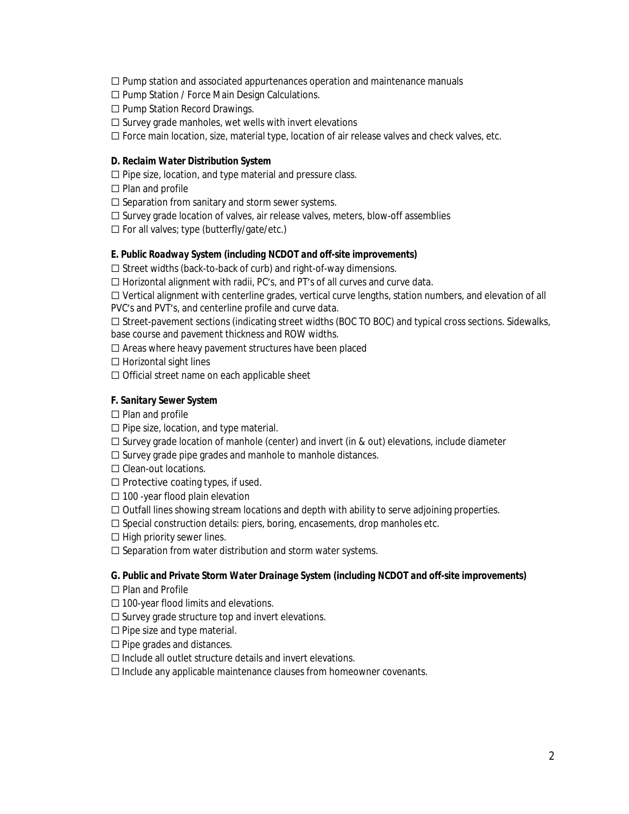$\Box$  Pump station and associated appurtenances operation and maintenance manuals

☐ Pump Station / Force Main Design Calculations.

- ☐ Pump Station Record Drawings.
- $\Box$  Survey grade manholes, wet wells with invert elevations

☐ Force main location, size, material type, location of air release valves and check valves, etc.

#### *D. Reclaim Water Distribution System*

- ☐ Pipe size, location, and type material and pressure class.
- ☐ Plan and profile
- $\Box$  Separation from sanitary and storm sewer systems.
- ☐ Survey grade location of valves, air release valves, meters, blow-off assemblies
- ☐ For all valves; type (butterfly/gate/etc.)

#### *E. Public Roadway System (including NCDOT and off-site improvements)*

☐ Street widths (back-to-back of curb) and right-of-way dimensions.

☐ Horizontal alignment with radii, PC's, and PT's of all curves and curve data.

☐ Vertical alignment with centerline grades, vertical curve lengths, station numbers, and elevation of all PVC's and PVT's, and centerline profile and curve data.

☐ Street-pavement sections (indicating street widths (BOC TO BOC) and typical cross sections. Sidewalks, base course and pavement thickness and ROW widths.

☐ Areas where heavy pavement structures have been placed

☐ Horizontal sight lines

☐ Official street name on each applicable sheet

#### *F. Sanitary Sewer System*

☐ Plan and profile

- ☐ Pipe size, location, and type material.
- $\Box$  Survey grade location of manhole (center) and invert (in & out) elevations, include diameter
- ☐ Survey grade pipe grades and manhole to manhole distances.
- ☐ Clean-out locations.
- $\Box$  Protective coating types, if used.
- $\Box$  100 -year flood plain elevation

 $\Box$  Outfall lines showing stream locations and depth with ability to serve adjoining properties.

 $\Box$  Special construction details: piers, boring, encasements, drop manholes etc.

☐ High priority sewer lines.

□ Separation from water distribution and storm water systems.

#### *G. Public and Private Storm Water Drainage System (including NCDOT and off-site improvements)*

- ☐ Plan and Profile
- ☐ 100-year flood limits and elevations.
- $\Box$  Survey grade structure top and invert elevations.
- ☐ Pipe size and type material.
- ☐ Pipe grades and distances.
- $\Box$  Include all outlet structure details and invert elevations.
- ☐ Include any applicable maintenance clauses from homeowner covenants.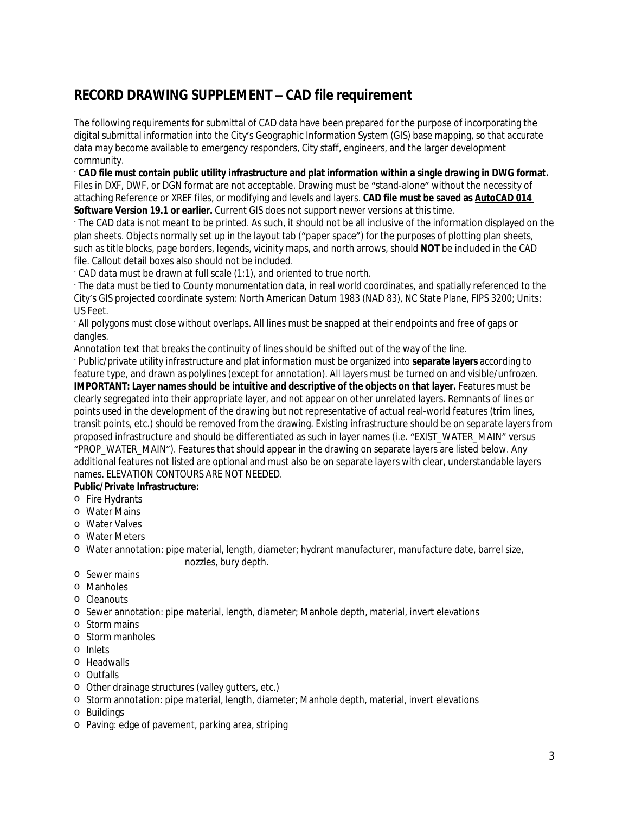## **RECORD DRAWING SUPPLEMENT – CAD file requirement**

The following requirements for submittal of CAD data have been prepared for the purpose of incorporating the digital submittal information into the City's Geographic Information System (GIS) base mapping, so that accurate data may become available to emergency responders, City staff, engineers, and the larger development community.

· **CAD file must contain public utility infrastructure and plat information within a single drawing in DWG format.**  Files in DXF, DWF, or DGN format are not acceptable. Drawing must be "stand-alone" without the necessity of attaching Reference or XREF files, or modifying and levels and layers. **CAD file must be saved as AutoCAD 014 Software Version 19.1 or earlier.** Current GIS does not support newer versions at this time.

· The CAD data is not meant to be printed. As such, it should not be all inclusive of the information displayed on the plan sheets. Objects normally set up in the layout tab ("paper space") for the purposes of plotting plan sheets, such as title blocks, page borders, legends, vicinity maps, and north arrows, should **NOT** be included in the CAD file. Callout detail boxes also should not be included.

· CAD data must be drawn at full scale (1:1), and oriented to true north.

· The data must be tied to County monumentation data, in real world coordinates, and spatially referenced to the City's GIS projected coordinate system: North American Datum 1983 (NAD 83), NC State Plane, FIPS 3200; Units: US Feet.

· All polygons must close without overlaps. All lines must be snapped at their endpoints and free of gaps or dangles.

Annotation text that breaks the continuity of lines should be shifted out of the way of the line.

· Public/private utility infrastructure and plat information must be organized into **separate layers** according to feature type, and drawn as polylines (except for annotation). All layers must be turned on and visible/unfrozen. **IMPORTANT: Layer names should be intuitive and descriptive of the objects on that layer.** Features must be clearly segregated into their appropriate layer, and not appear on other unrelated layers. Remnants of lines or points used in the development of the drawing but not representative of actual real-world features (trim lines, transit points, etc.) should be removed from the drawing. *Existing* infrastructure should be on separate layers from *proposed* infrastructure and should be differentiated as such in layer names (i.e. "EXIST\_WATER\_MAIN" versus "PROP\_WATER\_MAIN"). Features that should appear in the drawing on separate layers are listed below. Any additional features not listed are optional and must also be on separate layers with clear, understandable layers names. ELEVATION CONTOURS ARE NOT NEEDED.

## **Public/Private Infrastructure:**

- o Fire Hydrants
- o Water Mains
- o Water Valves
- o Water Meters
- o Water annotation: pipe material, length, diameter; hydrant manufacturer, manufacture date, barrel size, nozzles, bury depth.
- o Sewer mains
- o Manholes
- o Cleanouts
- o Sewer annotation: pipe material, length, diameter; Manhole depth, material, invert elevations
- o Storm mains
- o Storm manholes
- o Inlets
- o Headwalls
- o Outfalls
- o Other drainage structures (valley gutters, etc.)
- o Storm annotation: pipe material, length, diameter; Manhole depth, material, invert elevations
- o Buildings
- o Paving: edge of pavement, parking area, striping